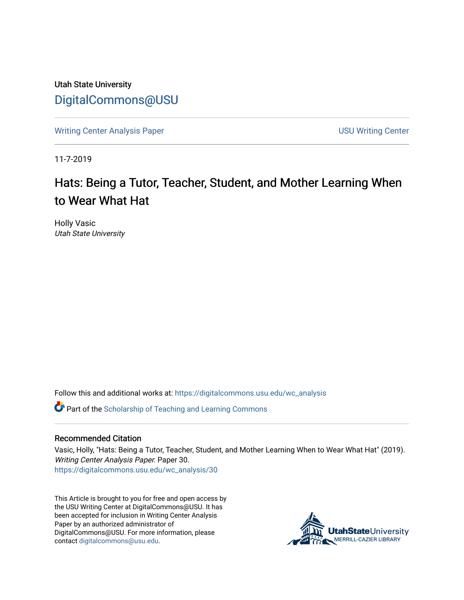Utah State University [DigitalCommons@USU](https://digitalcommons.usu.edu/)

[Writing Center Analysis Paper](https://digitalcommons.usu.edu/wc_analysis) National Communication of the USU Writing Center

11-7-2019

# Hats: Being a Tutor, Teacher, Student, and Mother Learning When to Wear What Hat

Holly Vasic Utah State University

Follow this and additional works at: [https://digitalcommons.usu.edu/wc\\_analysis](https://digitalcommons.usu.edu/wc_analysis?utm_source=digitalcommons.usu.edu%2Fwc_analysis%2F30&utm_medium=PDF&utm_campaign=PDFCoverPages) 

Part of the [Scholarship of Teaching and Learning Commons](http://network.bepress.com/hgg/discipline/1328?utm_source=digitalcommons.usu.edu%2Fwc_analysis%2F30&utm_medium=PDF&utm_campaign=PDFCoverPages) 

## Recommended Citation

Vasic, Holly, "Hats: Being a Tutor, Teacher, Student, and Mother Learning When to Wear What Hat" (2019). Writing Center Analysis Paper. Paper 30. [https://digitalcommons.usu.edu/wc\\_analysis/30](https://digitalcommons.usu.edu/wc_analysis/30?utm_source=digitalcommons.usu.edu%2Fwc_analysis%2F30&utm_medium=PDF&utm_campaign=PDFCoverPages)

This Article is brought to you for free and open access by the USU Writing Center at DigitalCommons@USU. It has been accepted for inclusion in Writing Center Analysis Paper by an authorized administrator of DigitalCommons@USU. For more information, please contact [digitalcommons@usu.edu](mailto:digitalcommons@usu.edu).

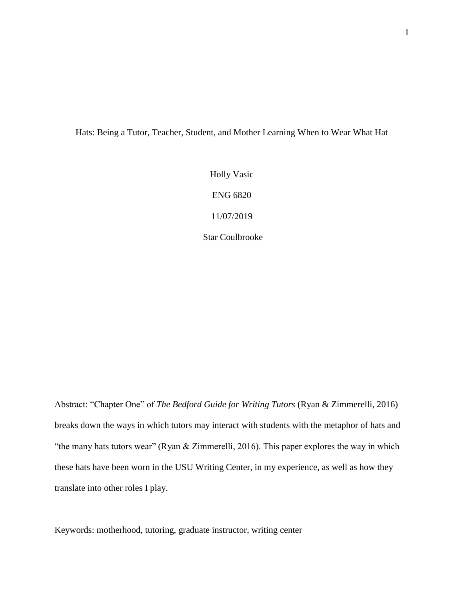Hats: Being a Tutor, Teacher, Student, and Mother Learning When to Wear What Hat

Holly Vasic ENG 6820 11/07/2019 Star Coulbrooke

Abstract: "Chapter One" of *The Bedford Guide for Writing Tutors* (Ryan & Zimmerelli, 2016) breaks down the ways in which tutors may interact with students with the metaphor of hats and "the many hats tutors wear" (Ryan & Zimmerelli, 2016). This paper explores the way in which these hats have been worn in the USU Writing Center, in my experience, as well as how they translate into other roles I play.

Keywords: motherhood, tutoring, graduate instructor, writing center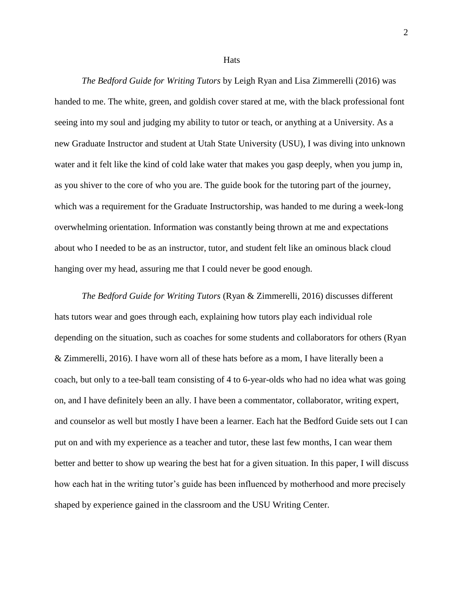**Hats** 

*The Bedford Guide for Writing Tutors* by Leigh Ryan and Lisa Zimmerelli (2016) was handed to me. The white, green, and goldish cover stared at me, with the black professional font seeing into my soul and judging my ability to tutor or teach, or anything at a University. As a new Graduate Instructor and student at Utah State University (USU), I was diving into unknown water and it felt like the kind of cold lake water that makes you gasp deeply, when you jump in, as you shiver to the core of who you are. The guide book for the tutoring part of the journey, which was a requirement for the Graduate Instructorship, was handed to me during a week-long overwhelming orientation. Information was constantly being thrown at me and expectations about who I needed to be as an instructor, tutor, and student felt like an ominous black cloud hanging over my head, assuring me that I could never be good enough.

*The Bedford Guide for Writing Tutors* (Ryan & Zimmerelli, 2016) discusses different hats tutors wear and goes through each, explaining how tutors play each individual role depending on the situation, such as coaches for some students and collaborators for others (Ryan & Zimmerelli, 2016). I have worn all of these hats before as a mom, I have literally been a coach, but only to a tee-ball team consisting of 4 to 6-year-olds who had no idea what was going on, and I have definitely been an ally. I have been a commentator, collaborator, writing expert, and counselor as well but mostly I have been a learner. Each hat the Bedford Guide sets out I can put on and with my experience as a teacher and tutor, these last few months, I can wear them better and better to show up wearing the best hat for a given situation. In this paper, I will discuss how each hat in the writing tutor's guide has been influenced by motherhood and more precisely shaped by experience gained in the classroom and the USU Writing Center.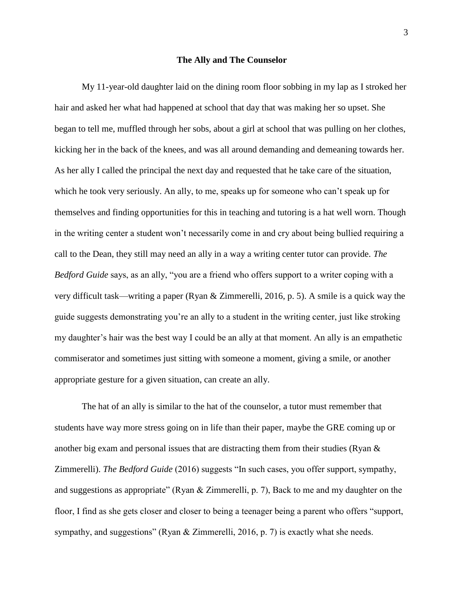#### **The Ally and The Counselor**

My 11-year-old daughter laid on the dining room floor sobbing in my lap as I stroked her hair and asked her what had happened at school that day that was making her so upset. She began to tell me, muffled through her sobs, about a girl at school that was pulling on her clothes, kicking her in the back of the knees, and was all around demanding and demeaning towards her. As her ally I called the principal the next day and requested that he take care of the situation, which he took very seriously. An ally, to me, speaks up for someone who can't speak up for themselves and finding opportunities for this in teaching and tutoring is a hat well worn. Though in the writing center a student won't necessarily come in and cry about being bullied requiring a call to the Dean, they still may need an ally in a way a writing center tutor can provide. *The Bedford Guide* says, as an ally, "you are a friend who offers support to a writer coping with a very difficult task—writing a paper (Ryan & Zimmerelli, 2016, p. 5). A smile is a quick way the guide suggests demonstrating you're an ally to a student in the writing center, just like stroking my daughter's hair was the best way I could be an ally at that moment. An ally is an empathetic commiserator and sometimes just sitting with someone a moment, giving a smile, or another appropriate gesture for a given situation, can create an ally.

The hat of an ally is similar to the hat of the counselor, a tutor must remember that students have way more stress going on in life than their paper, maybe the GRE coming up or another big exam and personal issues that are distracting them from their studies (Ryan  $\&$ Zimmerelli). *The Bedford Guide* (2016) suggests "In such cases, you offer support, sympathy, and suggestions as appropriate" (Ryan & Zimmerelli, p. 7), Back to me and my daughter on the floor, I find as she gets closer and closer to being a teenager being a parent who offers "support, sympathy, and suggestions" (Ryan & Zimmerelli, 2016, p. 7) is exactly what she needs.

3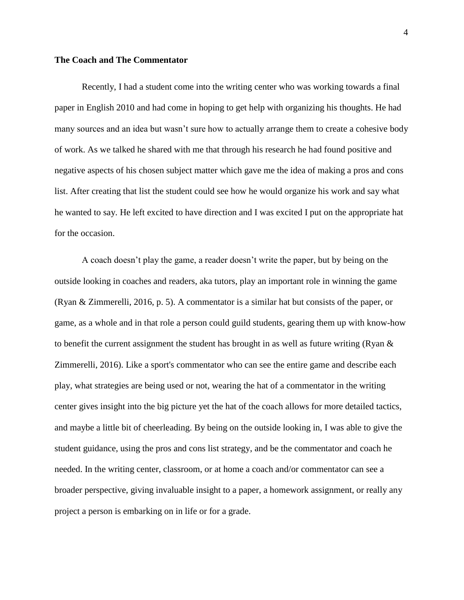## **The Coach and The Commentator**

Recently, I had a student come into the writing center who was working towards a final paper in English 2010 and had come in hoping to get help with organizing his thoughts. He had many sources and an idea but wasn't sure how to actually arrange them to create a cohesive body of work. As we talked he shared with me that through his research he had found positive and negative aspects of his chosen subject matter which gave me the idea of making a pros and cons list. After creating that list the student could see how he would organize his work and say what he wanted to say. He left excited to have direction and I was excited I put on the appropriate hat for the occasion.

A coach doesn't play the game, a reader doesn't write the paper, but by being on the outside looking in coaches and readers, aka tutors, play an important role in winning the game (Ryan & Zimmerelli, 2016, p. 5). A commentator is a similar hat but consists of the paper, or game, as a whole and in that role a person could guild students, gearing them up with know-how to benefit the current assignment the student has brought in as well as future writing (Ryan  $\&$ Zimmerelli, 2016). Like a sport's commentator who can see the entire game and describe each play, what strategies are being used or not, wearing the hat of a commentator in the writing center gives insight into the big picture yet the hat of the coach allows for more detailed tactics, and maybe a little bit of cheerleading. By being on the outside looking in, I was able to give the student guidance, using the pros and cons list strategy, and be the commentator and coach he needed. In the writing center, classroom, or at home a coach and/or commentator can see a broader perspective, giving invaluable insight to a paper, a homework assignment, or really any project a person is embarking on in life or for a grade.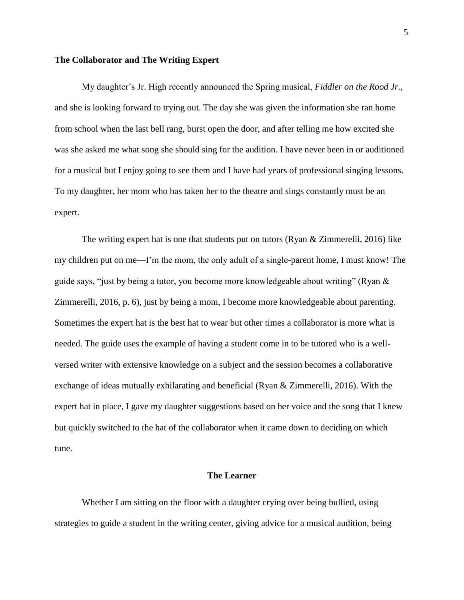#### **The Collaborator and The Writing Expert**

My daughter's Jr. High recently announced the Spring musical, *Fiddler on the Rood Jr.*, and she is looking forward to trying out. The day she was given the information she ran home from school when the last bell rang, burst open the door, and after telling me how excited she was she asked me what song she should sing for the audition. I have never been in or auditioned for a musical but I enjoy going to see them and I have had years of professional singing lessons. To my daughter, her mom who has taken her to the theatre and sings constantly must be an expert.

The writing expert hat is one that students put on tutors (Ryan & Zimmerelli, 2016) like my children put on me—I'm the mom, the only adult of a single-parent home, I must know! The guide says, "just by being a tutor, you become more knowledgeable about writing" (Ryan  $\&$ Zimmerelli, 2016, p. 6), just by being a mom, I become more knowledgeable about parenting. Sometimes the expert hat is the best hat to wear but other times a collaborator is more what is needed. The guide uses the example of having a student come in to be tutored who is a wellversed writer with extensive knowledge on a subject and the session becomes a collaborative exchange of ideas mutually exhilarating and beneficial (Ryan & Zimmerelli, 2016). With the expert hat in place, I gave my daughter suggestions based on her voice and the song that I knew but quickly switched to the hat of the collaborator when it came down to deciding on which tune.

## **The Learner**

Whether I am sitting on the floor with a daughter crying over being bullied, using strategies to guide a student in the writing center, giving advice for a musical audition, being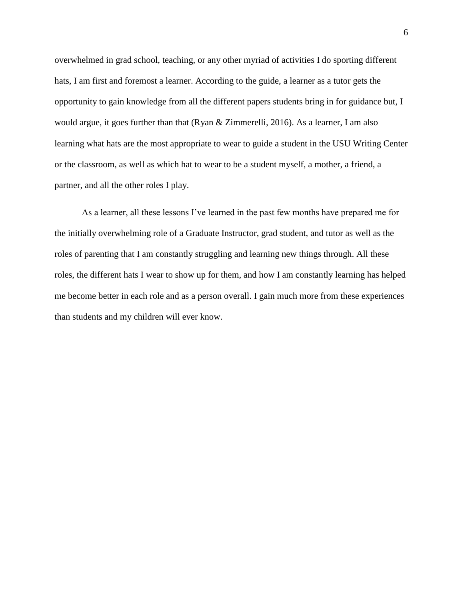overwhelmed in grad school, teaching, or any other myriad of activities I do sporting different hats, I am first and foremost a learner. According to the guide, a learner as a tutor gets the opportunity to gain knowledge from all the different papers students bring in for guidance but, I would argue, it goes further than that (Ryan & Zimmerelli, 2016). As a learner, I am also learning what hats are the most appropriate to wear to guide a student in the USU Writing Center or the classroom, as well as which hat to wear to be a student myself, a mother, a friend, a partner, and all the other roles I play.

As a learner, all these lessons I've learned in the past few months have prepared me for the initially overwhelming role of a Graduate Instructor, grad student, and tutor as well as the roles of parenting that I am constantly struggling and learning new things through. All these roles, the different hats I wear to show up for them, and how I am constantly learning has helped me become better in each role and as a person overall. I gain much more from these experiences than students and my children will ever know.